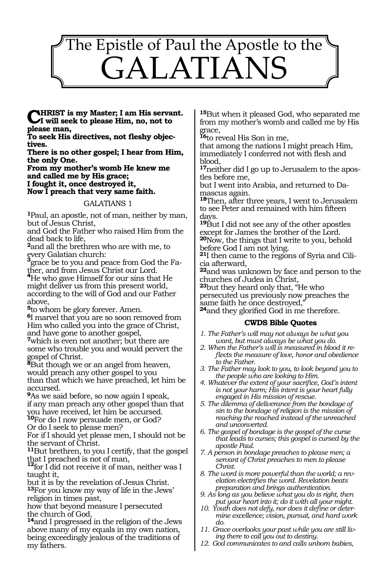

**Christ is my Master; I am His servant. I will seek to please Him, no, not to please man,**

**To seek His directives, not fleshy objectives.**

**There is no other gospel; I hear from Him, the only One.** 

**From my mother's womb He knew me and called me by His grace; I fought it, once destroyed it,**

**Now I preach that very same faith.** 

#### GALATIANS 1

**<sup>1</sup>**Paul, an apostle, not of man, neither by man, but of Jesus Christ,

and God the Father who raised Him from the dead back to life,

**<sup>2</sup>**and all the brethren who are with me, to every Galatian church:

**<sup>3</sup>**grace be to you and peace from God the Fa-

ther, and from Jesus Christ our Lord. **<sup>4</sup>**He who gave Himself for our sins that He might deliver us from this present world, according to the will of God and our Father above,

**<sup>5</sup>**to whom be glory forever. Amen.

**<sup>6</sup>**I marvel that you are so soon removed from Him who called you into the grace of Christ, and have gone to another gospel,

**<sup>7</sup>**which is even not another; but there are some who trouble you and would pervert the gospel of Christ.

**<sup>8</sup>**But though we or an angel from heaven, would preach any other gospel to you than that which we have preached, let him be accursed.

**<sup>9</sup>**As we said before, so now again I speak, if any man preach any other gospel than that you have received, let him be accursed.

**<sup>10</sup>**For do I now persuade men, or God? Or do I seek to please men?

For if I should yet please men, I should not be the servant of Christ.

**<sup>11</sup>**But brethren, to you I certify, that the gospel

that I preached is not of man, **<sup>12</sup>**for I did not receive it of man, neither was I taught it,

but it is by the revelation of Jesus Christ. **<sup>13</sup>**For you know my way of life in the Jews' religion in times past,

how that beyond measure I persecuted the church of God,

**<sup>14</sup>**and I progressed in the religion of the Jews above many of my equals in my own nation, being exceedingly jealous of the traditions of my fathers.

**<sup>15</sup>**But when it pleased God, who separated me from my mother's womb and called me by His grace,

**<sup>16</sup>**to reveal His Son in me,

that among the nations I might preach Him, immediately I conferred not with flesh and blood,

**17**neither did I go up to Jerusalem to the apostles before me,

but I went into Arabia, and returned to Damascus again.

**<sup>18</sup>**Then, after three years, I went to Jerusalem to see Peter and remained with him fifteen days.

**<sup>19</sup>**But I did not see any of the other apostles except for James the brother of the Lord. **<sup>20</sup>**Now, the things that I write to you, behold before God I am not lying.

**21**I then came to the regions of Syria and Cilicia afterward,

**<sup>22</sup>**and was unknown by face and person to the churches of Judea in Christ,

**<sup>23</sup>**but they heard only that, "He who persecuted us previously now preaches the same faith he once destroyed,"

**<sup>24</sup>**and they glorified God in me therefore.

## **CWDS Bible Quotes**

- *1. The Father's will may not always be what you want, but must always be what you do.*
- *2. When the Father's will is measured in blood it reflects the measure of love, honor and obedience to the Father.*
- *3. The Father may look to you, to look beyond you to the people who are looking to Him.*
- *4. Whatever the extent of your sacrifice, God's intent is not your harm; His intent is your heart fully engaged in His mission of rescue.*
- *5. The dilemma of deliverance from the bondage of sin to the bondage of religion is the mission of reaching the reached instead of the unreached and unconverted.*
- *6. The gospel of bondage is the gospel of the curse that leads to curses; this gospel is cursed by the apostle Paul.*
- *7. A person in bondage preaches to please men; a servant of Christ preaches to men to please Christ.*
- *8. The word is more powerful than the world; a revelation electrifies the word. Revelation beats preparation and brings authentication.*
- *9. As long as you believe what you do is right, then put your heart into it; do it with all your might.*
- *10. Youth does not defy, nor does it define or determine excellence; vision, pursuit, and hard work do.*
- *11. Grace overlooks your past while you are still living there to call you out to destiny.*
- *12. God communicates to and calls unborn babies,*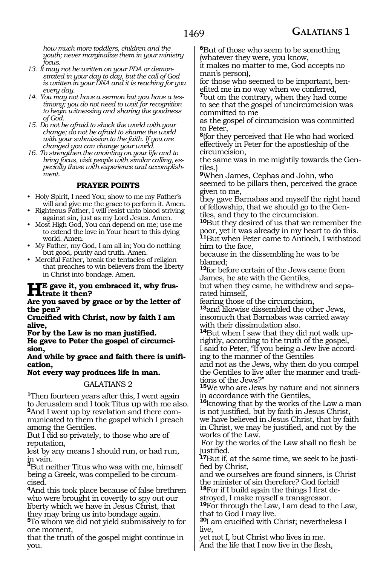*how much more toddlers, children and the youth; never marginalize them in your ministry focus.*

- *13. It may not be written on your PDA or demonstrated in your day to day, but the call of God is written in your DNA and it is reaching for you every day.*
- *14. You may not have a sermon but you have a testimony; you do not need to wait for recognition to begin witnessing and sharing the goodness of God.*
- *15. Do not be afraid to shock the world with your change; do not be afraid to shame the world with your submission to the faith. If you are changed you can change your world.*
- *16. To strengthen the anointing on your life and to bring focus, visit people with similar calling, especially those with experience and accomplishment.*

## **PRAYER POINTS**

- Holy Spirit, I need You; show to me my Father's will and give me the grace to perform it. Amen.
- Righteous Father, I will resist unto blood striving against sin, just as my Lord Jesus. Amen.
- Most High God, You can depend on me; use me to extend the love in Your heart to this dying world. Amen.
- My Father, my God, I am all in; You do nothing but good, purity and truth. Amen.
- Merciful Father, break the tentacles of religion that preaches to win believers from the liberty in Christ into bondage. Amen.

## **He gave it, you embraced it, why frusfinallel it then?**

**Are you saved by grace or by the letter of the pen?**

**Crucified with Christ, now by faith I am alive,**

**For by the Law is no man justified. He gave to Peter the gospel of circumcision,**

**And while by grace and faith there is unification,**

## **Not every way produces life in man.**

## GALATIANS 2

**<sup>1</sup>**Then fourteen years after this, I went again to Jerusalem and I took Titus up with me also. **2**And I went up by revelation and there communicated to them the gospel which I preach among the Gentiles.

But I did so privately, to those who are of reputation,

lest by any means I should run, or had run, in vain.

**<sup>3</sup>**But neither Titus who was with me, himself being a Greek, was compelled to be circumcised.

**<sup>4</sup>**And this took place because of false brethren who were brought in covertly to spy out our liberty which we have in Jesus Christ, that they may bring us into bondage again.

**<sup>5</sup>**To whom we did not yield submissively to for one moment,

that the truth of the gospel might continue in you.

**<sup>6</sup>**But of those who seem to be something (whatever they were, you know,

it makes no matter to me, God accepts no man's person),

for those who seemed to be important, benefited me in no way when we conferred,

**<sup>7</sup>**but on the contrary, when they had come to see that the gospel of uncircumcision was committed to me

as the gospel of circumcision was committed to Peter,

**<sup>8</sup>**(for they perceived that He who had worked effectively in Peter for the apostleship of the circumcision,

the same was in me mightily towards the Gentiles.)

**<sup>9</sup>**When James, Cephas and John, who seemed to be pillars then, perceived the grace given to me,

they gave Barnabas and myself the right hand of fellowship, that we should go to the Gentiles, and they to the circumcision.

**<sup>10</sup>**But they desired of us that we remember the poor, yet it was already in my heart to do this. **<sup>11</sup>**But when Peter came to Antioch, I withstood him to the face,

because in the dissembling he was to be blamed;

**<sup>12</sup>**for before certain of the Jews came from James, he ate with the Gentiles,

but when they came, he withdrew and separated himself,

fearing those of the circumcision,

**<sup>13</sup>**and likewise dissembled the other Jews, insomuch that Barnabas was carried away with their dissimulation also.

**<sup>14</sup>**But when I saw that they did not walk up- rightly, according to the truth of the gospel, I said to Peter, "If you being a Jew live accord- ing to the manner of the Gentiles

and not as the Jews, why then do you compel the Gentiles to live after the manner and tradi- tions of the Jews?"

**<sup>15</sup>**We who are Jews by nature and not sinners in accordance with the Gentiles,

**<sup>16</sup>**knowing that by the works of the Law a man is not justified, but by faith in Jesus Christ, we have believed in Jesus Christ, that by faith in Christ, we may be justified, and not by the works of the Law.

For by the works of the Law shall no flesh be justified.

**17**But if, at the same time, we seek to be justified by Christ,

and we ourselves are found sinners, is Christ the minister of sin therefore? God forbid!

**18**For if I build again the things I first destroyed, I make myself a transgressor.

**<sup>19</sup>**For through the Law, I am dead to the Law, that to God I may live.

**<sup>20</sup>**I am crucified with Christ; nevertheless I live,

yet not I, but Christ who lives in me. And the life that I now live in the flesh,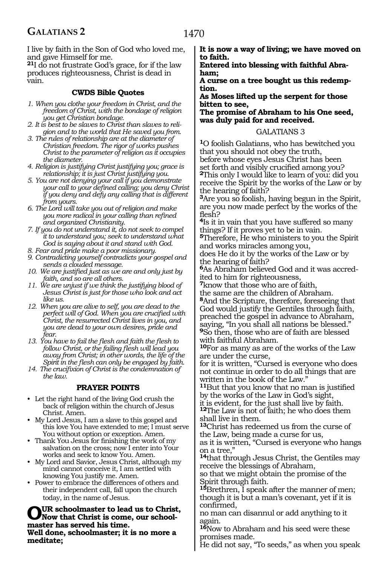I live by faith in the Son of God who loved me, and gave Himself for me.

**<sup>21</sup>**I do not frustrate God's grace, for if the law produces righteousness, Christ is dead in vain.

## **CWDS Bible Quotes**

- *1. When you clothe your freedom in Christ, and the freedom of Christ, with the bondage of religion you get Christian bondage.*
- *2. It is best to be slaves to Christ than slaves to religion and to the world that He saved you from.*
- *3. The rules of relationship are at the diameter of Christian freedom. The rigor of works pushes Christ to the parameter of religion as it occupies the diameter.*
- *4. Religion is justifying Christ justifying you; grace is relationship; it is just Christ justifying you.*
- *5. You are not denying your call if you demonstrate your call to your defined calling; you deny Christ if you deny and defy any calling that is different from yours.*
- *6. The Lord will take you out of religion and make you more radical in your calling than refined and organized Christianity.*
- *7. If you do not understand it, do not seek to compel it to understand you; seek to understand what God is saying about it and stand with God.*
- *8. Fear and pride make a poor missionary.*
- *9. Contradicting yourself contradicts your gospel and sends a clouded message.*
- *10. We are justified just as we are and only just by faith, and so are all others.*
- *11. We are unjust if we think the justifying blood of Jesus Christ is just for those who look and act like us.*
- *12. When you are alive to self, you are dead to the perfect will of God. When you are crucified with Christ, the resurrected Christ lives in you, and you are dead to your own desires, pride and fear.*
- *13. You have to fail the flesh and faith the flesh to follow Christ, or the failing flesh will lead you away from Christ; in other words, the life of the Spirit in the flesh can only be engaged by faith.*
- *14. The crucifixion of Christ is the condemnation of the law.*

# **PRAYER POINTS**

- Let the right hand of the living God crush the back of religion within the church of Jesus Christ. Amen.
- My Lord Jesus, I am a slave to this gospel and this love You have extended to me; I must serve You without option or exception. Amen.
- Thank You Jesus for finishing the work of my salvation on the cross; now I enter into Your works and seek to know You. Amen.
- My Lord and Savior, Jesus Christ, although my mind cannot conceive it, I am settled with knowing You justify me. Amen.
- Power to embrace the differences of others and their independent call, fall upon the church today, in the name of Jesus.

OUR schoolmaster to lead us to Christ,<br>
motor has seemed his time, our school**master has served his time.**

**Well done, schoolmaster; it is no more a meditate;**

**It is now a way of living; we have moved on to faith.**

**Entered into blessing with faithful Abraham;**

**A curse on a tree bought us this redemption.**

**As Moses lifted up the serpent for those bitten to see,**

**The promise of Abraham to his One seed, was duly paid for and received.** 

## GALATIANS 3

**<sup>1</sup>**O foolish Galatians, who has bewitched you that you should not obey the truth, before whose eyes Jesus Christ has been set forth and visibly crucified among you? **<sup>2</sup>**This only I would like to learn of you: did you receive the Spirit by the works of the Law or by the hearing of faith?

**<sup>3</sup>**Are you so foolish, having begun in the Spirit, are you now made perfect by the works of the flesh?

**<sup>4</sup>**Is it in vain that you have suffered so many things? If it proves yet to be in vain.

**<sup>5</sup>**Therefore, He who ministers to you the Spirit and works miracles among you,

does He do it by the works of the Law or by the hearing of faith?

**6**As Abraham believed God and it was accredited to him for righteousness,

**<sup>7</sup>**know that those who are of faith,

the same are the children of Abraham. **<sup>8</sup>**And the Scripture, therefore, foreseeing that God would justify the Gentiles through faith, preached the gospel in advance to Abraham, saying, "In you shall all nations be blessed." **<sup>9</sup>**So then, those who are of faith are blessed with faithful Abraham.

**<sup>10</sup>**For as many as are of the works of the Law are under the curse,

for it is written, "Cursed is everyone who does not continue in order to do all things that are written in the book of the Law."

**<sup>11</sup>**But that you know that no man is justified by the works of the Law in God's sight,

it is evident, for the just shall live by faith. **<sup>12</sup>**The Law is not of faith; he who does them shall live in them.

**<sup>13</sup>**Christ has redeemed us from the curse of the Law, being made a curse for us,

as it is written, "Cursed is everyone who hangs on a tree,"

**<sup>14</sup>**that through Jesus Christ, the Gentiles may receive the blessings of Abraham,

so that we might obtain the promise of the Spirit through faith.

**<sup>15</sup>**Brethren, I speak after the manner of men; though it is but a man's covenant, yet if it is confirmed,

no man can disannul or add anything to it again.

**<sup>16</sup>**Now to Abraham and his seed were these promises made.

He did not say, "To seeds," as when you speak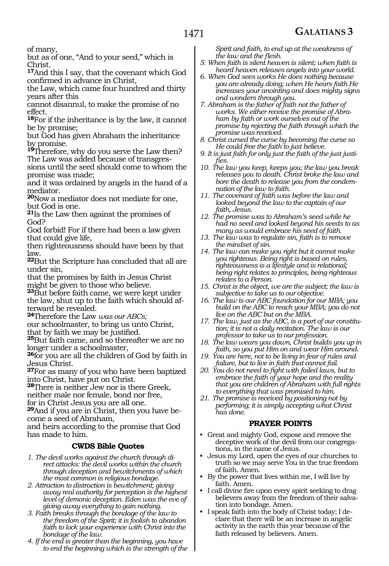of many,

but as of one, "And to your seed," which is Christ.

**<sup>17</sup>**And this I say, that the covenant which God confirmed in advance in Christ,

the Law, which came four hundred and thirty years after this

cannot disannul, to make the promise of no effect.

**<sup>18</sup>**For if the inheritance is by the law, it cannot be by promise;

but God has given Abraham the inheritance by promise.

**<sup>19</sup>**Therefore, why do you serve the Law then? The Law was added because of transgres-

sions until the seed should come to whom the promise was made;

and it was ordained by angels in the hand of a mediator.

**<sup>20</sup>**Now a mediator does not mediate for one, but God is one.

**<sup>21</sup>**Is the Law then against the promises of God?

God forbid! For if there had been a law given that could give life,

then righteousness should have been by that law.

**<sup>22</sup>**But the Scripture has concluded that all are under sin,

that the promises by faith in Jesus Christ might be given to those who believe.

**<sup>23</sup>**But before faith came, we were kept under the law, shut up to the faith which should afterward be revealed.

**<sup>24</sup>**Therefore the Law *was our ABCs;*

our schoolmaster, to bring us unto Christ, that by faith we may be justified.

**<sup>25</sup>**But faith came, and so thereafter we are no longer under a schoolmaster,

**<sup>26</sup>**for you are all the children of God by faith in Jesus Christ.

**<sup>27</sup>**For as many of you who have been baptized into Christ, have put on Christ.

**<sup>28</sup>**There is neither Jew nor is there Greek, neither male nor female, bond nor free,

for in Christ Jesus you are all one.

**29**And if you are in Christ, then you have become a seed of Abraham,

and heirs according to the promise that God has made to him.

# **CWDS Bible Quotes**

- *1. The devil works against the church through direct attacks: the devil works within the church through deception and bewitchments of which the most common is religious bondage.*
- *2. Attraction to distraction is bewitchment; giving away real authority for perception is the highest level of demonic deception. Eden was the eve of giving away everything to gain nothing.*
- *3. Faith breaks through the bondage of the law to the freedom of the Spirit; it is foolish to abandon faith to lock your experience with Christ into the bondage of the law.*
- *4. If the end is greater than the beginning, you have to end the beginning which is the strength of the*

*Spirit and faith, to end up at the weakness of the law and the flesh.*

*5. When faith is silent heaven is silent; when faith is heard heaven releases angels into your world.*

*6. When God sees works He does nothing because you are already doing; when He hears faith He increases your anointing and does mighty signs and wonders through you.*

*7. Abraham is the father of faith not the father of works. We either receive the promise of Abraham by faith or work ourselves out of the promise by rejecting the faith through which the promise was received.*

- *8. Christ cursed the curse by becoming the curse so He could free the faith to just believe.*
- *9. It is just faith for only just the faith of the just justifies.*
- *10. The law you keep, keeps you; the law you break releases you to death. Christ broke the law and bore the death to release you from the condemnation of the law to faith.*
- *11. The covenant of faith was before the law and looked beyond the law to the captain of our faith, Jesus.*
- *12. The promise was to Abraham's seed while he had no seed and looked beyond his seeds to as many as would embrace his seed of faith.*
- *13. The law was to regulate sin, faith is to remove the mindset of sin.*
- *14. The law can make you right but it cannot make you righteous. Being right is based on rules, righteousness is a lifestyle and is relational; being right relates to principles, being righteous relates to a Person.*
- *15. Christ is the object, we are the subject; the law is subjective to take us to our objective.*
- *16. The law is our ABC foundation for our MBA; you build on the ABC to reach your MBA; you do not live on the ABC but on the MBA.*
- *17. The law, just as the ABC, is a part of our constitution; it is not a daily recitation. The law is our professor to take us to our profession.*
- *18. The law wears you down, Christ builds you up in faith, so you put Him on and wear Him around.*
- *19. You are here, not to be living in fear of rules and failure, but to live in faith that cannot fail.*
- *20. You do not need to fight with failed laws, but to embrace the faith of your hope and the reality that you are children of Abraham with full rights to everything that was promised to him.*
- *21. The promise is received by positioning not by performing; it is simply accepting what Christ has done.*

# **PRAYER POINTS**

- Great and mighty God, expose and remove the deceptive work of the devil from our congregations, in the name of Jesus.
- Jesus my Lord, open the eyes of our churches to truth so we may serve You in the true freedom of faith. Amen.
- By the power that lives within me, I will live by faith. Amen.
- I call divine fire upon every spirit seeking to drag believers away from the freedom of their salvation into bondage. Amen.
- I speak faith into the body of Christ today; I declare that there will be an increase in angelic activity in the earth this year because of the faith released by believers. Amen.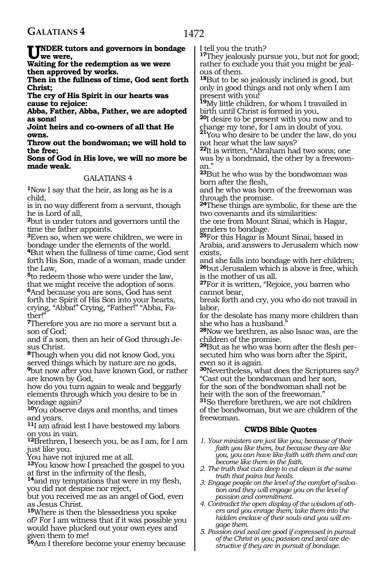given them to me!

**<sup>16</sup>**Am I therefore become your enemy because

| $\mathbf{U}^{\text{NDER}}_{\text{we were}}$                                                            | I tell you the truth?                                                                               |
|--------------------------------------------------------------------------------------------------------|-----------------------------------------------------------------------------------------------------|
| we were,                                                                                               | <sup>17</sup> They jealously pursue you, but not for good;                                          |
| Waiting for the redemption as we were                                                                  | rather to exclude you that you might be jeal-                                                       |
| then approved by works.                                                                                | ous of them.                                                                                        |
| Then in the fullness of time, God sent forth                                                           | <sup>18</sup> But to be so jealously inclined is good, but                                          |
| <b>Christ:</b>                                                                                         | only in good things and not only when I am                                                          |
| The cry of His Spirit in our hearts was                                                                | present with you!                                                                                   |
| cause to rejoice:                                                                                      | <sup>19</sup> My little children, for whom I travailed in                                           |
| Abba, Father, Abba, Father, we are adopted                                                             | birth until Christ is formed in you,                                                                |
| as sons!                                                                                               | 20 desire to be present with you now and to                                                         |
| Joint heirs and co-owners of all that He                                                               | change my tone, for I am in doubt of you.                                                           |
| owns.                                                                                                  | 21You who desire to be under the law, do you                                                        |
| Throw out the bondwoman; we will hold to                                                               | not hear what the law says?                                                                         |
| the free;                                                                                              | <sup>22</sup> It is written, "Abraham had two sons; one                                             |
| Sons of God in His love, we will no more be                                                            | was by a bondmaid, the other by a freewom-                                                          |
| made weak.                                                                                             | an."                                                                                                |
| GALATIANS 4                                                                                            | <sup>23</sup> But he who was by the bondwoman was                                                   |
|                                                                                                        | born after the flesh,                                                                               |
| <sup>1</sup> Now I say that the heir, as long as he is a                                               | and he who was born of the freewoman was                                                            |
| child.<br>is in no way different from a servant, though                                                | through the promise.<br><sup>24</sup> These things are symbolic, for these are the                  |
| he is Lord of all,                                                                                     | two covenants and its similarities:                                                                 |
| <sup>2</sup> but is under tutors and governors until the                                               | the one from Mount Sinai, which is Hagar,                                                           |
| time the father appoints.                                                                              | genders to bondage.                                                                                 |
| <sup>3</sup> Even so, when we were children, we were in                                                | 25For this Hagar is Mount Sinai, based in                                                           |
| bondage under the elements of the world.                                                               | Arabia, and answers to Jerusalem which now                                                          |
| <sup>4</sup> But when the fullness of time came, God sent                                              | exists.                                                                                             |
| forth His Son, made of a woman, made under                                                             | and she falls into bondage with her children;                                                       |
| the Law,                                                                                               | <sup>26</sup> but Jerusalem which is above is free, which                                           |
| 5to redeem those who were under the law,                                                               | is the mother of us all.                                                                            |
| that we might receive the adoption of sons.                                                            | <sup>27</sup> For it is written, "Rejoice, you barren who                                           |
| <b>Media because you are sons, God has sent</b>                                                        | cannot bear,                                                                                        |
| forth the Spirit of His Son into your hearts,                                                          | break forth and cry, you who do not travail in                                                      |
| crying, "Abba!" Crying, "Father!" "Abba, Fa-                                                           | labor,                                                                                              |
| ther!"                                                                                                 | for the desolate has many more children than                                                        |
| 7Therefore you are no more a servant but a                                                             | she who has a husband."                                                                             |
| son of God;                                                                                            | <sup>28</sup> Now we brethren, as also Isaac was, are the                                           |
| and if a son, then an heir of God through Je-                                                          | children of the promise.                                                                            |
| sus Christ.                                                                                            | <sup>29</sup> But as he who was born after the flesh per-                                           |
| <sup>8</sup> Though when you did not know God, you                                                     | secuted him who was born after the Spirit,                                                          |
| served things which by nature are no gods,<br><sup>9</sup> but now after you have known God, or rather | even so it is again.                                                                                |
| are known by God,                                                                                      | <sup>30</sup> Nevertheless, what does the Scriptures say?<br>"Cast out the bondwoman and her son,   |
| how do you turn again to weak and beggarly                                                             | for the son of the bondwoman shall not be                                                           |
| elements through which you desire to be in                                                             | heir with the son of the freewoman."                                                                |
| bondage again?                                                                                         | 31So therefore brethren, we are not children                                                        |
| 10You observe days and months, and times                                                               | of the bondwoman, but we are children of the                                                        |
| and years.                                                                                             | freewoman.                                                                                          |
| <sup>11</sup> I am afraid lest I have bestowed my labors                                               |                                                                                                     |
| on you in vain.                                                                                        | <b>CWDS Bible Quotes</b>                                                                            |
| <sup>12</sup> Brethren, I beseech you, be as I am, for I am                                            | 1. Your ministers are just like you; because of their                                               |
| just like you.                                                                                         | faith you like them, but because they are like                                                      |
| You have not injured me at all.                                                                        | you, you can have like-faith with them and can                                                      |
| <sup>13</sup> You know how I preached the gospel to you                                                | become like them in the faith.<br>2. The truth that cuts deep to cut clean is the same              |
| at first in the infirmity of the flesh,                                                                | truth that pains but heals.                                                                         |
| <sup>14</sup> and my temptations that were in my flesh,                                                | 3. Engage people on the level of the comfort of salva-                                              |
| you did not despise nor reject,                                                                        | tion and they will engage you on the level of                                                       |
| but you received me as an angel of God, even                                                           | passion and commitment.                                                                             |
| as Jesus Christ.                                                                                       | 4. Contradict the open display of the wisdom of oth-<br>ers and you enrage them; take them into the |
| <sup>15</sup> Where is then the blessedness you spoke                                                  | hidden enclave of their souls and you will en-                                                      |
| of? For I am witness that if it was possible you                                                       | gage them.                                                                                          |
| would have plucked out your own eyes and                                                               | $\overline{5}$ Dession and zeal are good if expressed in pursuit                                    |

*5. Passion and zeal are good if expressed in pursuit of the Christ in you; passion and zeal are destructive if they are in pursuit of bondage.*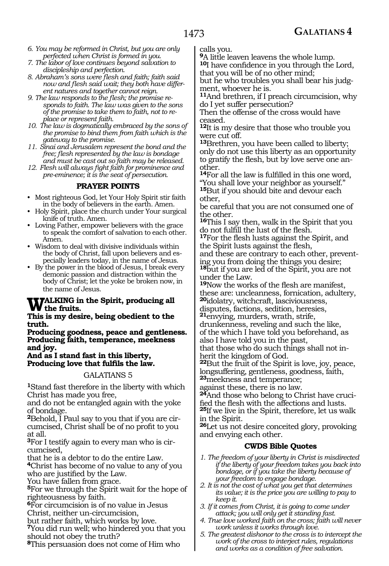- *6. You may be reformed in Christ, but you are only perfected when Christ is formed in you.*
- *7. The labor of love continues beyond salvation to discipleship and perfection.*
- *8. Abraham's sons were flesh and faith; faith said now and flesh said wait; they both have different natures and together cannot reign.*
- *9. The law responds to the flesh; the promise responds to faith. The law was given to the sons of the promise to take them to faith, not to replace or represent faith.*
- *10. The law is dogmatically embraced by the sons of the promise to bind them from faith which is the gateway to the promise.*
- *11. Sinai and Jerusalem represent the bond and the free; flesh represented by the law is bondage and must be cast out so faith may be released.*
- *12. Flesh will always fight faith for prominence and pre-eminence; it is the seat of persecution.*

## **PRAYER POINTS**

- Most righteous God, let Your Holy Spirit stir faith in the body of believers in the earth. Amen.
- Holy Spirit, place the church under Your surgical knife of truth. Amen.
- Loving Father, empower believers with the grace to speak the comfort of salvation to each other. Amen.
- Wisdom to deal with divisive individuals within the body of Christ, fall upon believers and especially leaders today, in the name of Jesus.
- By the power in the blood of Jesus, I break every demonic passion and distraction within the body of Christ; let the yoke be broken now, in the name of Jesus.

#### **TALKING in the Spirit, producing all the fruits.**

#### **This is my desire, being obedient to the truth.**

**Producing goodness, peace and gentleness. Producing faith, temperance, meekness and joy.**

#### **And as I stand fast in this liberty, Producing love that fulfils the law.**

## GALATIANS 5

**<sup>1</sup>**Stand fast therefore in the liberty with which Christ has made you free,

and do not be entangled again with the yoke of bondage.

**2**Behold, I Paul say to you that if you are circumcised, Christ shall be of no profit to you at all.

**3**For I testify again to every man who is circumcised,

that he is a debtor to do the entire Law.

**<sup>4</sup>**Christ has become of no value to any of you who are justified by the Law.

You have fallen from grace.

**<sup>5</sup>**For we through the Spirit wait for the hope of righteousness by faith.

**<sup>6</sup>**For circumcision is of no value in Jesus

- Christ, neither un-circumcision,
- but rather faith, which works by love.

**<sup>7</sup>**You did run well; who hindered you that you should not obey the truth?

**<sup>8</sup>**This persuasion does not come of Him who

calls you.

**<sup>9</sup>**A little leaven leavens the whole lump. **<sup>10</sup>**I have confidence in you through the Lord, that you will be of no other mind;

but he who troubles you shall bear his judgment, whoever he is.

**<sup>11</sup>**And brethren, if I preach circumcision, why do I yet suffer persecution?

Then the offense of the cross would have ceased.

**<sup>12</sup>**It is my desire that those who trouble you were cut off.

**<sup>13</sup>**Brethren, you have been called to liberty; only do not use this liberty as an opportunity to gratify the flesh, but by love serve one another.

**<sup>14</sup>**For all the law is fulfilled in this one word, "You shall love your neighbor as yourself." **<sup>15</sup>**But if you should bite and devour each other,

be careful that you are not consumed one of the other.

**<sup>16</sup>**This I say then, walk in the Spirit that you do not fulfill the lust of the flesh.

**<sup>17</sup>**For the flesh lusts against the Spirit, and the Spirit lusts against the flesh,

and these are contrary to each other, preventing you from doing the things you desire;

**<sup>18</sup>**but if you are led of the Spirit, you are not under the Law.

**<sup>19</sup>**Now the works of the flesh are manifest, these are: uncleanness, fornication, adultery, **<sup>20</sup>**idolatry, witchcraft, lasciviousness,

disputes, factions, sedition, heresies,

**<sup>21</sup>**envying, murders, wrath, strife, drunkenness, reveling and such the like,

of the which I have told you beforehand, as also I have told you in the past,

that those who do such things shall not inherit the kingdom of God.

**<sup>22</sup>**But the fruit of the Spirit is love, joy, peace, longsuffering, gentleness, goodness, faith, **<sup>23</sup>**meekness and temperance;

against these, there is no law.

**24**And those who belong to Christ have crucified the flesh with the affections and lusts. **<sup>25</sup>**If we live in the Spirit, therefore, let us walk in the Spirit.

**<sup>26</sup>**Let us not desire conceited glory, provoking and envying each other.

# **CWDS Bible Quotes**

- *1. The freedom of your liberty in Christ is misdirected if the liberty of your freedom takes you back into bondage, or if you take the liberty because of your freedom to engage bondage.*
- *2. It is not the cost of what you get that determines its value; it is the price you are willing to pay to keep it.*
- *3. If it comes from Christ, it is going to come under attack; you will only get it standing fast.*
- *4. True love worked faith on the cross; faith will never work unless it works through love.*
- *5. The greatest dishonor to the cross is to intercept the work of the cross to interject rules, regulations and works as a condition of free salvation.*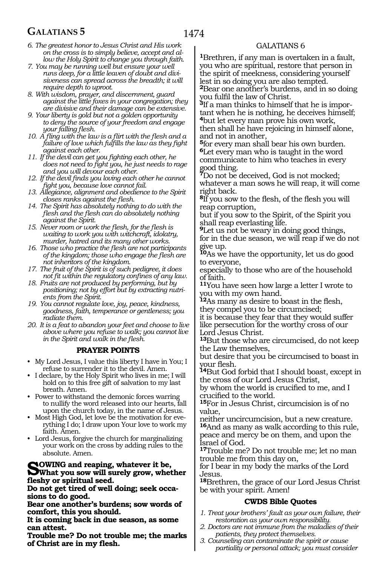# **GALATIANS 5**

- *6. The greatest honor to Jesus Christ and His work on the cross is to simply believe, accept and allow the Holy Spirit to change you through faith.*
- *7. You may be running well but ensure your well runs deep, for a little leaven of doubt and divisiveness can spread across the breadth; it will require depth to uproot.*
- *8. With wisdom, prayer, and discernment, guard against the little foxes in your congregation; they are divisive and their damage can be extensive.*
- *9. Your liberty is gold but not a golden opportunity to deny the source of your freedom and engage your falling flesh.*
- *10. A fling with the law is a flirt with the flesh and a failure of love which fulfills the law as they fight against each other.*
- *11. If the devil can get you fighting each other, he does not need to fight you, he just needs to rage and you will devour each other.*
- *12. If the devil finds you loving each other he cannot fight you, because love cannot fail.*
- *13. Allegiance, alignment and obedience to the Spirit closes ranks against the flesh.*
- *14. The Spirit has absolutely nothing to do with the flesh and the flesh can do absolutely nothing against the Spirit.*
- *15. Never room or work the flesh, for the flesh is waiting to work you with witchcraft, idolatry, murder, hatred and its many other works.*
- *16. Those who practice the flesh are not participants of the kingdom; those who engage the flesh are not inheritors of the kingdom.*
- *17. The fruit of the Spirit is of such pedigree, it does not fit within the regulatory confines of any law.*
- *18. Fruits are not produced by performing, but by positioning; not by effort but by extracting nutrients from the Spirit.*
- *19. You cannot regulate love, joy, peace, kindness, goodness, faith, temperance or gentleness; you radiate them.*
- *20. It is a feat to abandon your feet and choose to live above where you refuse to walk; you cannot live in the Spirit and walk in the flesh.*

#### **PRAYER POINTS**

- My Lord Jesus, I value this liberty I have in You; I refuse to surrender it to the devil. Amen.
- I declare, by the Holy Spirit who lives in me; I will hold on to this free gift of salvation to my last breath. Amen.
- Power to withstand the demonic forces warring to nullify the word released into our hearts, fall upon the church today, in the name of Jesus.
- Most High God, let love be the motivation for everything I do; I draw upon Your love to work my faith. Amen.
- Lord Jesus, forgive the church for marginalizing your work on the cross by adding rules to the absolute. Amen.

# **SOWING and reaping, whatever it be,**<br>What you sow will surely grow, whether<br>floater as animitivel accd **fleshy or spiritual seed.**

**Do not get tired of well doing; seek occasions to do good.** 

**Bear one another's burdens; sow words of comfort, this you should.** 

**It is coming back in due season, as some can attest.** 

**Trouble me? Do not trouble me; the marks of Christ are in my flesh.** 

# GALATIANS 6

**<sup>1</sup>**Brethren, if any man is overtaken in a fault, you who are spiritual, restore that person in the spirit of meekness, considering yourself lest in so doing you are also tempted. **<sup>2</sup>**Bear one another's burdens, and in so doing

you fulfil the law of Christ.

**3**If a man thinks to himself that he is important when he is nothing, he deceives himself; **<sup>4</sup>**but let every man prove his own work, then shall he have rejoicing in himself alone, and not in another,

**<sup>5</sup>**for every man shall bear his own burden. **<sup>6</sup>**Let every man who is taught in the word communicate to him who teaches in every good thing.

**<sup>7</sup>**Do not be deceived, God is not mocked; whatever a man sows he will reap, it will come right back.

**<sup>8</sup>**If you sow to the flesh, of the flesh you will reap corruption,

but if you sow to the Spirit, of the Spirit you shall reap everlasting life.

**<sup>9</sup>**Let us not be weary in doing good things, for in the due season, we will reap if we do not give up.

**<sup>10</sup>**As we have the opportunity, let us do good to everyone,

especially to those who are of the household of faith.

**<sup>11</sup>**You have seen how large a letter I wrote to you with my own hand.

**<sup>12</sup>**As many as desire to boast in the flesh, they compel you to be circumcised;

it is because they fear that they would suffer like persecution for the worthy cross of our Lord Jesus Christ.

**<sup>13</sup>**But those who are circumcised, do not keep the Law themselves,

but desire that you be circumcised to boast in

your flesh. **14**But God forbid that I should boast, except in the cross of our Lord Jesus Christ,

by whom the world is crucified to me, and I crucified to the world.

**<sup>15</sup>**For in Jesus Christ, circumcision is of no value,

neither uncircumcision, but a new creature. **<sup>16</sup>**And as many as walk according to this rule, peace and mercy be on them, and upon the Israel of God.

**<sup>17</sup>**Trouble me? Do not trouble me; let no man trouble me from this day on,

for I bear in my body the marks of the Lord Jesus.

**<sup>18</sup>**Brethren, the grace of our Lord Jesus Christ be with your spirit. Amen!

## **CWDS Bible Quotes**

- *1. Treat your brothers' fault as your own failure, their restoration as your own responsibility.*
- *2. Doctors are not immune from the maladies of their patients, they protect themselves.*
- *3. Counseling can contaminate the spirit or cause partiality or personal attack; you must consider*